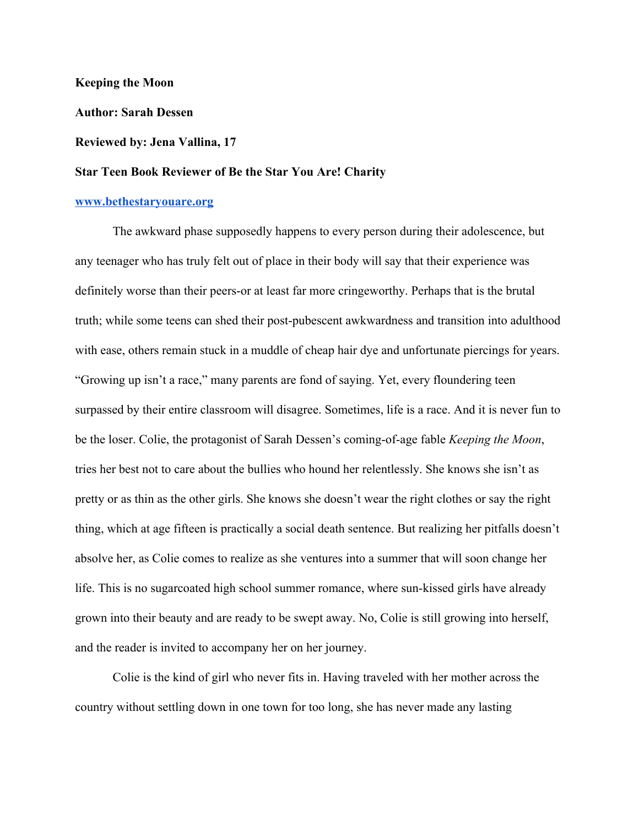**Keeping the Moon**

**Author: Sarah Dessen**

## **Reviewed by: Jena Vallina, 17**

## **Star Teen Book Reviewer of Be the Star You Are! Charity**

## **[www.bethestaryouare.org](http://www.bethestaryouare.org/)**

The awkward phase supposedly happens to every person during their adolescence, but any teenager who has truly felt out of place in their body will say that their experience was definitely worse than their peers-or at least far more cringeworthy. Perhaps that is the brutal truth; while some teens can shed their post-pubescent awkwardness and transition into adulthood with ease, others remain stuck in a muddle of cheap hair dye and unfortunate piercings for years. "Growing up isn't a race," many parents are fond of saying. Yet, every floundering teen surpassed by their entire classroom will disagree. Sometimes, life is a race. And it is never fun to be the loser. Colie, the protagonist of Sarah Dessen's coming-of-age fable *Keeping the Moon*, tries her best not to care about the bullies who hound her relentlessly. She knows she isn't as pretty or as thin as the other girls. She knows she doesn't wear the right clothes or say the right thing, which at age fifteen is practically a social death sentence. But realizing her pitfalls doesn't absolve her, as Colie comes to realize as she ventures into a summer that will soon change her life. This is no sugarcoated high school summer romance, where sun-kissed girls have already grown into their beauty and are ready to be swept away. No, Colie is still growing into herself, and the reader is invited to accompany her on her journey.

Colie is the kind of girl who never fits in. Having traveled with her mother across the country without settling down in one town for too long, she has never made any lasting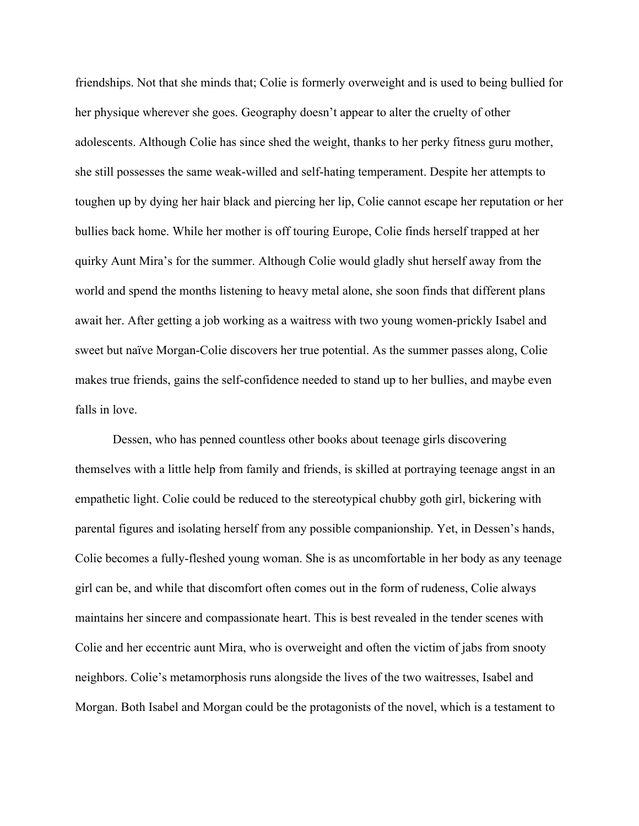friendships. Not that she minds that; Colie is formerly overweight and is used to being bullied for her physique wherever she goes. Geography doesn't appear to alter the cruelty of other adolescents. Although Colie has since shed the weight, thanks to her perky fitness guru mother, she still possesses the same weak-willed and self-hating temperament. Despite her attempts to toughen up by dying her hair black and piercing her lip, Colie cannot escape her reputation or her bullies back home. While her mother is off touring Europe, Colie finds herself trapped at her quirky Aunt Mira's for the summer. Although Colie would gladly shut herself away from the world and spend the months listening to heavy metal alone, she soon finds that different plans await her. After getting a job working as a waitress with two young women-prickly Isabel and sweet but naïve Morgan-Colie discovers her true potential. As the summer passes along, Colie makes true friends, gains the self-confidence needed to stand up to her bullies, and maybe even falls in love.

Dessen, who has penned countless other books about teenage girls discovering themselves with a little help from family and friends, is skilled at portraying teenage angst in an empathetic light. Colie could be reduced to the stereotypical chubby goth girl, bickering with parental figures and isolating herself from any possible companionship. Yet, in Dessen's hands, Colie becomes a fully-fleshed young woman. She is as uncomfortable in her body as any teenage girl can be, and while that discomfort often comes out in the form of rudeness, Colie always maintains her sincere and compassionate heart. This is best revealed in the tender scenes with Colie and her eccentric aunt Mira, who is overweight and often the victim of jabs from snooty neighbors. Colie's metamorphosis runs alongside the lives of the two waitresses, Isabel and Morgan. Both Isabel and Morgan could be the protagonists of the novel, which is a testament to